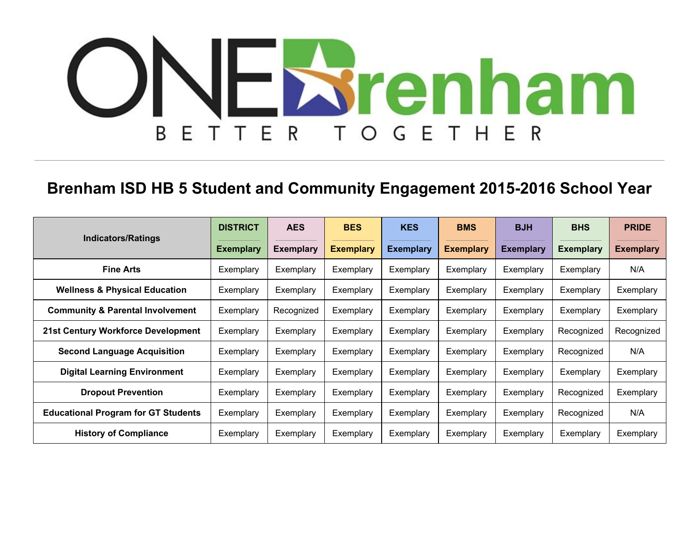## NEStenham HER E T E R B Τ E  $\bigcirc$ G

## **Brenham ISD HB 5 Student and Community Engagement 2015-2016 School Year**

| <b>Indicators/Ratings</b>                   | <b>DISTRICT</b>  | <b>AES</b>       | <b>BES</b>       | <b>KES</b>       | <b>BMS</b>       | <b>BJH</b>       | <b>BHS</b>       | <b>PRIDE</b>     |
|---------------------------------------------|------------------|------------------|------------------|------------------|------------------|------------------|------------------|------------------|
|                                             | <b>Exemplary</b> | <b>Exemplary</b> | <b>Exemplary</b> | <b>Exemplary</b> | <b>Exemplary</b> | <b>Exemplary</b> | <b>Exemplary</b> | <b>Exemplary</b> |
| <b>Fine Arts</b>                            | Exemplary        | Exemplary        | Exemplary        | Exemplary        | Exemplary        | Exemplary        | Exemplary        | N/A              |
| <b>Wellness &amp; Physical Education</b>    | Exemplary        | Exemplary        | Exemplary        | Exemplary        | Exemplary        | Exemplary        | Exemplary        | Exemplary        |
| <b>Community &amp; Parental Involvement</b> | Exemplary        | Recognized       | Exemplary        | Exemplary        | Exemplary        | Exemplary        | Exemplary        | Exemplary        |
| 21st Century Workforce Development          | Exemplary        | Exemplary        | Exemplary        | Exemplary        | Exemplary        | Exemplary        | Recognized       | Recognized       |
| <b>Second Language Acquisition</b>          | Exemplary        | Exemplary        | Exemplary        | Exemplary        | Exemplary        | Exemplary        | Recognized       | N/A              |
| <b>Digital Learning Environment</b>         | Exemplary        | Exemplary        | Exemplary        | Exemplary        | Exemplary        | Exemplary        | Exemplary        | Exemplary        |
| <b>Dropout Prevention</b>                   | Exemplary        | Exemplary        | Exemplary        | Exemplary        | Exemplary        | Exemplary        | Recognized       | Exemplary        |
| <b>Educational Program for GT Students</b>  | Exemplary        | Exemplary        | Exemplary        | Exemplary        | Exemplary        | Exemplary        | Recognized       | N/A              |
| <b>History of Compliance</b>                | Exemplary        | Exemplary        | Exemplary        | Exemplary        | Exemplary        | Exemplary        | Exemplary        | Exemplary        |